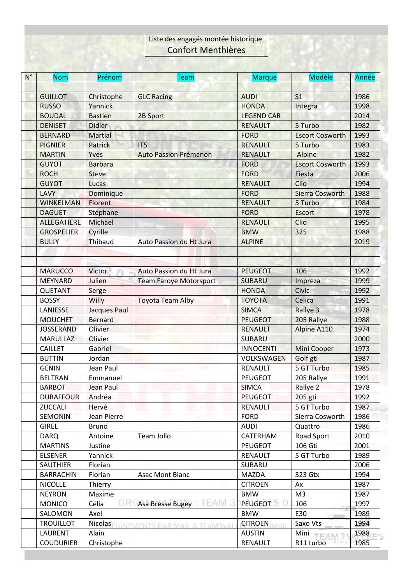## Liste des engagés montée historique Confort Menthières

| $N^{\circ}$ | <b>Nom</b>         | Prénom         | <b>Team</b>                            | <b>Marque</b>        | Modèle                               | Année |
|-------------|--------------------|----------------|----------------------------------------|----------------------|--------------------------------------|-------|
|             |                    |                |                                        |                      |                                      |       |
|             | <b>GUILLOT</b>     | Christophe     | <b>GLC Racing</b>                      | <b>AUDI</b>          | S <sub>1</sub>                       | 1986  |
|             | <b>RUSSO</b>       | Yannick        |                                        | <b>HONDA</b>         | Integra                              | 1998  |
|             | <b>BOUDAL</b>      | <b>Bastien</b> | 2B Sport                               | <b>LEGEND CAR</b>    |                                      | 2014  |
|             | <b>DENISET</b>     | <b>Didier</b>  |                                        | <b>RENAULT</b>       | 5 Turbo                              | 1982  |
|             | <b>BERNARD</b>     | <b>Martial</b> |                                        | <b>FORD</b>          | <b>Escort Cosworth</b>               | 1993  |
|             | <b>PIGNIER</b>     | Patrick        | IT5                                    | <b>RENAULT</b>       | 5 Turbo                              | 1983  |
|             | <b>MARTIN</b>      | Yves           | <b>Auto Passion Prémanon</b>           | <b>RENAULT</b>       | Alpine                               | 1982  |
|             | <b>GUYOT</b>       | <b>Barbara</b> |                                        | <b>FORD</b>          | <b>Escort Cosworth</b>               | 1993  |
|             | <b>ROCH</b>        | <b>Steve</b>   |                                        | <b>FORD</b>          | Fiesta                               | 2006  |
|             | <b>GUYOT</b>       | Lucas          |                                        | <b>RENAULT</b>       | Clio                                 | 1994  |
|             | <b>LAVY</b>        | Dominique      |                                        | <b>FORD</b>          | Sierra Cosworth                      | 1988  |
|             | <b>WINKELMAN</b>   | Florent        |                                        | <b>RENAULT</b>       | 5 Turbo                              | 1984  |
|             | <b>DAGUET</b>      | Stéphane       |                                        | <b>FORD</b>          | Escort                               | 1978  |
|             | <b>ALLEGATIERE</b> | Michäel        |                                        | <b>RENAULT</b>       | Clio                                 | 1995  |
|             | <b>GROSPELIER</b>  | Cyrille        |                                        | <b>BMW</b>           | 325                                  | 1988  |
|             | <b>BULLY</b>       | Thibaud        | Auto Passion du Ht Jura                | <b>ALPINE</b>        |                                      | 2019  |
|             |                    |                |                                        |                      |                                      |       |
|             |                    |                |                                        |                      |                                      |       |
|             | <b>MARUCCO</b>     | Victor         | <b>Auto Passion du Ht Jura</b>         | <b>PEUGEOT</b>       | 106                                  | 1992  |
|             | <b>MEYNARD</b>     | Julien         | <b>Team Faroye Motorsport</b>          | <b>SUBARU</b>        | Impreza                              | 1999  |
|             | <b>QUETANT</b>     | Serge          |                                        | <b>HONDA</b>         | Civic                                | 1992  |
|             | <b>BOSSY</b>       | Willy          | <b>Toyota Team Alby</b>                | <b>TOYOTA</b>        | Celica                               | 1991  |
|             | LANIESSE           | Jacques Paul   |                                        | <b>SIMCA</b>         | Rallye 3                             | 1978  |
|             | <b>MOUCHET</b>     | <b>Bernard</b> |                                        | <b>PEUGEOT</b>       | 205 Rallye                           | 1988  |
|             | <b>JOSSERAND</b>   | Olivier        |                                        | <b>RENAULT</b>       | Alpine A110                          | 1974  |
|             | <b>MARULLAZ</b>    | Olivier        |                                        | <b>SUBARU</b>        |                                      | 2000  |
|             | <b>CAILLET</b>     | Gabriel        |                                        | <b>INNOCENTI</b>     | Mini Cooper                          | 1973  |
|             | <b>BUTTIN</b>      | Jordan         |                                        | VOLKSWAGEN           | Golf gti                             | 1987  |
|             | <b>GENIN</b>       | Jean Paul      |                                        | <b>RENAULT</b>       | 5 GT Turbo                           | 1985  |
|             | <b>BELTRAN</b>     | Emmanuel       |                                        | <b>PEUGEOT</b>       | 205 Rallye                           | 1991  |
|             | <b>BARBOT</b>      | Jean Paul      |                                        | <b>SIMCA</b>         | Rallye 2                             | 1978  |
|             | <b>DURAFFOUR</b>   | Andréa         |                                        | <b>PEUGEOT</b>       | 205 gti                              | 1992  |
|             | <b>ZUCCALI</b>     | Hervé          |                                        | <b>RENAULT</b>       | 5 GT Turbo                           | 1987  |
|             | <b>SEMONIN</b>     | Jean Pierre    |                                        | <b>FORD</b>          | Sierra Cosworth                      | 1986  |
|             | <b>GIREL</b>       | <b>Bruno</b>   |                                        | <b>AUDI</b>          | Quattro                              | 1986  |
|             | <b>DARQ</b>        | Antoine        | Team Jollo                             | CATERHAM             | <b>Road Sport</b>                    | 2010  |
|             | <b>MARTINS</b>     | Justine        |                                        | <b>PEUGEOT</b>       | 106 Gti                              | 2001  |
|             | <b>ELSENER</b>     | Yannick        |                                        | <b>RENAULT</b>       | 5 GT Turbo                           | 1989  |
|             | <b>SAUTHIER</b>    | <b>Florian</b> |                                        | SUBARU               |                                      | 2006  |
|             | <b>BARRACHIN</b>   | Florian        | Asac Mont Blanc                        | <b>MAZDA</b>         | 323 Gtx                              | 1994  |
|             | <b>NICOLLE</b>     | Thierry        |                                        | <b>CITROEN</b>       | Ax                                   | 1987  |
|             | <b>NEYRON</b>      | Maxime         |                                        | <b>BMW</b>           | M <sub>3</sub>                       | 1987  |
|             | <b>MONICO</b>      | ΟH<br>Célia    | Asa Bresse Bugey                       | PEUGEOT              | 106                                  | 1997  |
|             | SALOMON            | Axel           |                                        | <b>BMW</b>           | E30                                  | 1989  |
|             | <b>TROUILLOT</b>   |                |                                        | <b>CITROEN:</b> MAIL | programmed<br>Saxo Vts               | 1994  |
|             | LAURENT            | Alain          | Nicolas FIGNEMENTS PAR MAIL A TEAM3VAL | <b>AUSTIN</b>        | Mini                                 | 1988  |
|             | <b>COUDURIER</b>   |                |                                        | RENAULT              | <b>TEAM 3</b><br>01.041<br>R11 turbo | 1985  |
|             |                    | Christophe     |                                        |                      |                                      |       |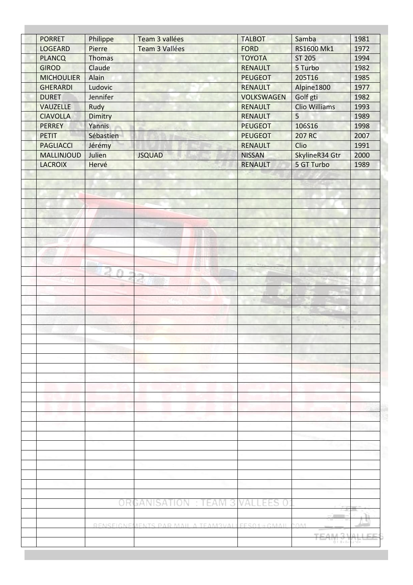| <b>LOGEARD</b>    | Philippe          | Team 3 vallées                          | <b>TALBOT</b>     | Samba           | 1981    |
|-------------------|-------------------|-----------------------------------------|-------------------|-----------------|---------|
|                   | Pierre            | <b>Team 3 Vallées</b>                   | <b>FORD</b>       | RS1600 Mk1      | 1972    |
| <b>PLANCQ</b>     | <b>Thomas</b>     |                                         | <b>TOYOTA</b>     | <b>ST 205</b>   | 1994    |
| <b>GIROD</b>      | Claude            |                                         | <b>RENAULT</b>    | 5 Turbo         | 1982    |
| <b>MICHOULIER</b> | Alain             |                                         | <b>PEUGEOT</b>    | 205T16          | 1985    |
| <b>GHERARDI</b>   | Ludovic           |                                         | <b>RENAULT</b>    | Alpine1800      | 1977    |
| <b>DURET</b>      | Jennifer          |                                         | <b>VOLKSWAGEN</b> | Golf gti        | 1982    |
| <b>VAUZELLE</b>   | Rudy              |                                         | <b>RENAULT</b>    | Clio Williams   | 1993    |
| <b>CIAVOLLA</b>   | Dimitry           |                                         | <b>RENAULT</b>    | 5               | 1989    |
| <b>PERREY</b>     | Yannis            |                                         | <b>PEUGEOT</b>    | 106S16          | 1998    |
| <b>PETIT</b>      | Sébastien         |                                         | <b>PEUGEOT</b>    | 207 RC          | 2007    |
| <b>PAGLIACCI</b>  | Jérémy            |                                         | <b>RENAULT</b>    | Clio            | 1991    |
| MALLINJOUD        | Julien            | <b>JSQUAD</b>                           | <b>NISSAN</b>     | SkylineR34 Gtr  | 2000    |
| <b>LACROIX</b>    | Hervé             |                                         | <b>RENAULT</b>    | 5 GT Turbo      | 1989    |
|                   |                   |                                         |                   |                 |         |
|                   |                   |                                         |                   |                 |         |
|                   |                   |                                         |                   |                 |         |
| M.                |                   |                                         |                   |                 |         |
|                   |                   |                                         |                   |                 |         |
|                   |                   | w                                       |                   |                 |         |
|                   |                   |                                         |                   |                 |         |
|                   |                   |                                         |                   |                 |         |
|                   |                   |                                         |                   |                 |         |
|                   |                   |                                         |                   |                 |         |
|                   |                   |                                         |                   |                 |         |
|                   |                   |                                         |                   |                 |         |
|                   |                   |                                         |                   |                 |         |
|                   |                   |                                         |                   |                 |         |
|                   |                   |                                         |                   |                 |         |
|                   |                   |                                         |                   |                 |         |
|                   |                   |                                         |                   |                 |         |
|                   |                   |                                         |                   |                 |         |
|                   |                   |                                         |                   |                 |         |
|                   |                   |                                         |                   |                 |         |
|                   |                   |                                         |                   |                 |         |
|                   |                   |                                         |                   |                 |         |
|                   |                   |                                         |                   |                 |         |
|                   |                   |                                         |                   |                 |         |
|                   |                   |                                         |                   |                 |         |
|                   |                   |                                         |                   |                 |         |
|                   |                   |                                         |                   |                 |         |
|                   |                   |                                         |                   |                 |         |
|                   |                   |                                         |                   |                 |         |
|                   |                   | <b>GANISATION : TEAM 3</b>              | VAI<br>EES 0      |                 |         |
|                   | OR(               |                                         |                   |                 |         |
|                   |                   |                                         |                   | me announced in | Τi<br>ш |
|                   | <b>RENSEIGNEI</b> | MENTS PAR MAIL A TEAM3VALLEES01 a GMAIL |                   | COM             |         |